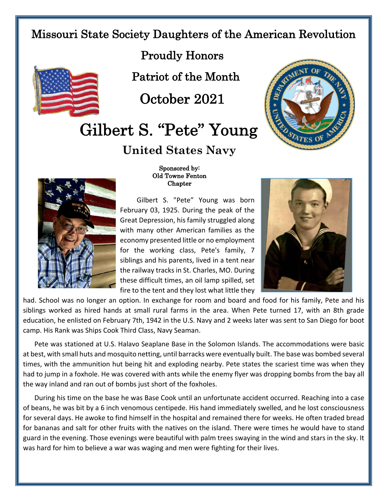## Missouri State Society Daughters of the American Revolution



Proudly Honors

Patriot of the Month

October 2021

## Gilbert S. "Pete" Young

**United States Navy**





## Sponsored by: Old Towne Fenton Chapter

Gilbert S. "Pete" Young was born February 03, 1925. During the peak of the Great Depression, his family struggled along with many other American families as the economy presented little or no employment for the working class, Pete's family, 7 siblings and his parents, lived in a tent near the railway tracks in St. Charles, MO. During these difficult times, an oil lamp spilled, set fire to the tent and they lost what little they



had. School was no longer an option. In exchange for room and board and food for his family, Pete and his siblings worked as hired hands at small rural farms in the area. When Pete turned 17, with an 8th grade education, he enlisted on February 7th, 1942 in the U.S. Navy and 2 weeks later was sent to San Diego for boot camp. His Rank was Ships Cook Third Class, Navy Seaman.

Pete was stationed at U.S. Halavo Seaplane Base in the Solomon Islands. The accommodations were basic at best, with small huts and mosquito netting, until barracks were eventually built. The base was bombed several times, with the ammunition hut being hit and exploding nearby. Pete states the scariest time was when they had to jump in a foxhole. He was covered with ants while the enemy flyer was dropping bombs from the bay all the way inland and ran out of bombs just short of the foxholes.

During his time on the base he was Base Cook until an unfortunate accident occurred. Reaching into a case of beans, he was bit by a 6 inch venomous centipede. His hand immediately swelled, and he lost consciousness for several days. He awoke to find himself in the hospital and remained there for weeks. He often traded bread for bananas and salt for other fruits with the natives on the island. There were times he would have to stand guard in the evening. Those evenings were beautiful with palm trees swaying in the wind and stars in the sky. It was hard for him to believe a war was waging and men were fighting for their lives.